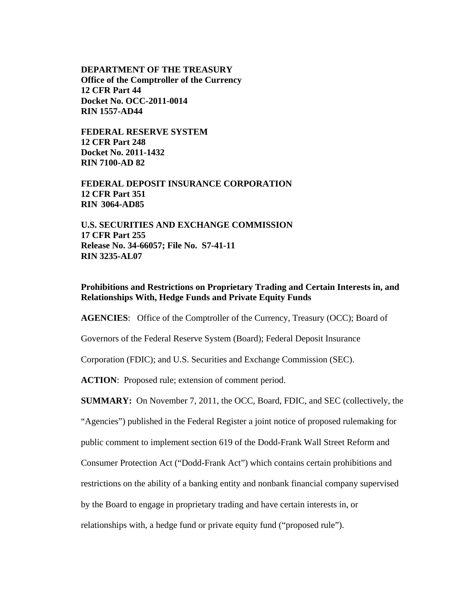**DEPARTMENT OF THE TREASURY Office of the Comptroller of the Currency 12 CFR Part 44 Docket No. OCC-2011-0014 RIN 1557-AD44** 

**FEDERAL RESERVE SYSTEM 12 CFR Part 248 Docket No. 2011-1432 RIN 7100-AD 82** 

**FEDERAL DEPOSIT INSURANCE CORPORATION 12 CFR Part 351 RIN 3064-AD85** 

**U.S. SECURITIES AND EXCHANGE COMMISSION 17 CFR Part 255 Release No. 34-66057; File No. S7-41-11 RIN 3235-AL07** 

**Prohibitions and Restrictions on Proprietary Trading and Certain Interests in, and Relationships With, Hedge Funds and Private Equity Funds** 

**AGENCIES:** Office of the Comptroller of the Currency, Treasury (OCC); Board of

Governors of the Federal Reserve System (Board); Federal Deposit Insurance

Corporation (FDIC); and U.S. Securities and Exchange Commission (SEC).

ACTION: Proposed rule; extension of comment period.

**SUMMARY:** On November 7, 2011, the OCC, Board, FDIC, and SEC (collectively, the

"Agencies") published in the Federal Register a joint notice of proposed rulemaking for

public comment to implement section 619 of the Dodd-Frank Wall Street Reform and

Consumer Protection Act ("Dodd-Frank Act") which contains certain prohibitions and

restrictions on the ability of a banking entity and nonbank financial company supervised

by the Board to engage in proprietary trading and have certain interests in, or

relationships with, a hedge fund or private equity fund ("proposed rule").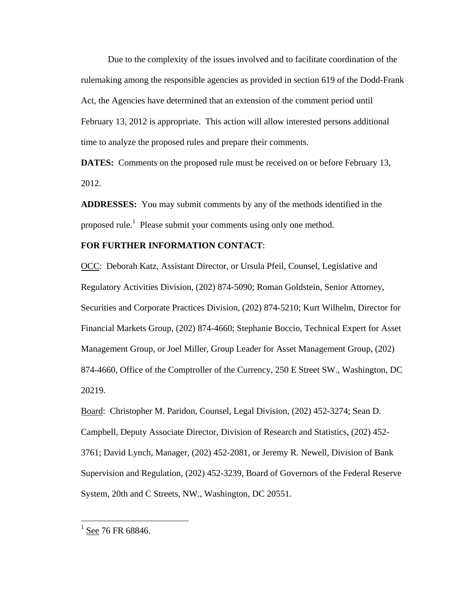Due to the complexity of the issues involved and to facilitate coordination of the rulemaking among the responsible agencies as provided in section 619 of the Dodd-Frank Act, the Agencies have determined that an extension of the comment period until February 13, 2012 is appropriate. This action will allow interested persons additional time to analyze the proposed rules and prepare their comments.

**DATES:** Comments on the proposed rule must be received on or before February 13, 2012.

**ADDRESSES:** You may submit comments by any of the methods identified in the proposed rule.<sup>1</sup> Please submit your comments using only one method.

## **FOR FURTHER INFORMATION CONTACT**:

OCC: Deborah Katz, Assistant Director, or Ursula Pfeil, Counsel, Legislative and Regulatory Activities Division, (202) 874-5090; Roman Goldstein, Senior Attorney, Securities and Corporate Practices Division, (202) 874-5210; Kurt Wilhelm, Director for Financial Markets Group, (202) 874-4660; Stephanie Boccio, Technical Expert for Asset Management Group, or Joel Miller, Group Leader for Asset Management Group, (202) 874-4660, Office of the Comptroller of the Currency, 250 E Street SW., Washington, DC 20219.

Board: Christopher M. Paridon, Counsel, Legal Division, (202) 452-3274; Sean D. Campbell, Deputy Associate Director, Division of Research and Statistics, (202) 452- 3761; David Lynch, Manager, (202) 452-2081, or Jeremy R. Newell, Division of Bank Supervision and Regulation, (202) 452-3239, Board of Governors of the Federal Reserve System, 20th and C Streets, NW., Washington, DC 20551.

 $\overline{a}$ 

 $1$  See 76 FR 68846.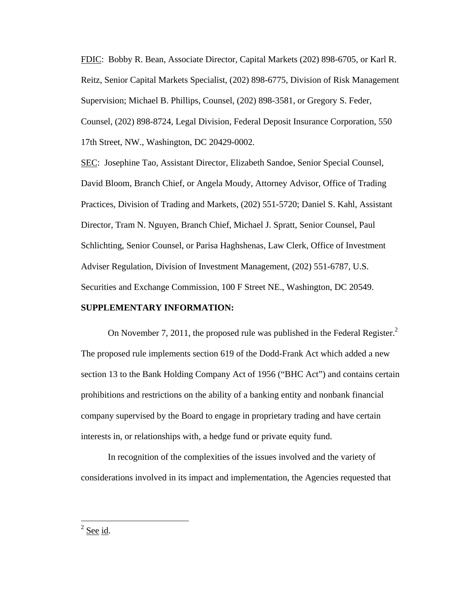FDIC: Bobby R. Bean, Associate Director, Capital Markets (202) 898-6705, or Karl R. Reitz, Senior Capital Markets Specialist, (202) 898-6775, Division of Risk Management Supervision; Michael B. Phillips, Counsel, (202) 898-3581, or Gregory S. Feder, Counsel, (202) 898-8724, Legal Division, Federal Deposit Insurance Corporation, 550 17th Street, NW., Washington, DC 20429-0002.

SEC: Josephine Tao, Assistant Director, Elizabeth Sandoe, Senior Special Counsel, David Bloom, Branch Chief, or Angela Moudy, Attorney Advisor, Office of Trading Practices, Division of Trading and Markets, (202) 551-5720; Daniel S. Kahl, Assistant Director, Tram N. Nguyen, Branch Chief, Michael J. Spratt, Senior Counsel, Paul Schlichting, Senior Counsel, or Parisa Haghshenas, Law Clerk, Office of Investment Adviser Regulation, Division of Investment Management, (202) 551-6787, U.S. Securities and Exchange Commission, 100 F Street NE., Washington, DC 20549.

## **SUPPLEMENTARY INFORMATION:**

On November 7, 2011, the proposed rule was published in the Federal Register.<sup>2</sup> The proposed rule implements section 619 of the Dodd-Frank Act which added a new section 13 to the Bank Holding Company Act of 1956 ("BHC Act") and contains certain prohibitions and restrictions on the ability of a banking entity and nonbank financial company supervised by the Board to engage in proprietary trading and have certain interests in, or relationships with, a hedge fund or private equity fund.

In recognition of the complexities of the issues involved and the variety of considerations involved in its impact and implementation, the Agencies requested that

 $\frac{2 \text{ See } id.}{2 \text{ See } id.}$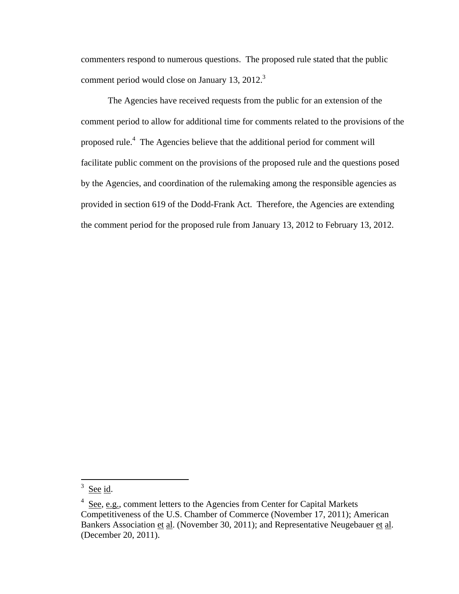commenters respond to numerous questions. The proposed rule stated that the public comment period would close on January 13, 2012.<sup>3</sup>

The Agencies have received requests from the public for an extension of the comment period to allow for additional time for comments related to the provisions of the proposed rule.<sup>4</sup> The Agencies believe that the additional period for comment will facilitate public comment on the provisions of the proposed rule and the questions posed by the Agencies, and coordination of the rulemaking among the responsible agencies as provided in section 619 of the Dodd-Frank Act. Therefore, the Agencies are extending the comment period for the proposed rule from January 13, 2012 to February 13, 2012.

 $\overline{3}$ See id.

 $4$  See, e.g., comment letters to the Agencies from Center for Capital Markets Competitiveness of the U.S. Chamber of Commerce (November 17, 2011); American Bankers Association et al. (November 30, 2011); and Representative Neugebauer et al. (December 20, 2011).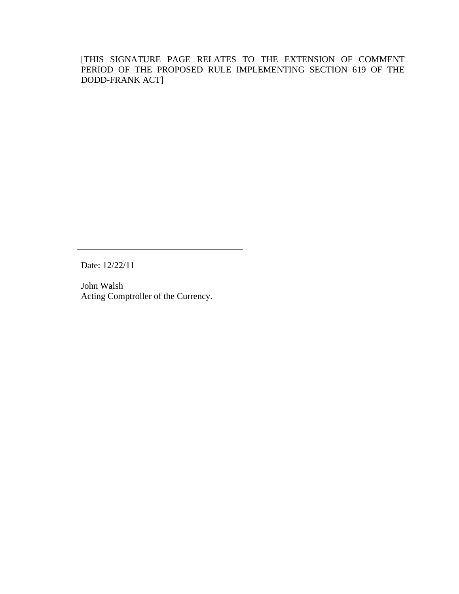[THIS SIGNATURE PAGE RELATES TO THE EXTENSION OF COMMENT PERIOD OF THE PROPOSED RULE IMPLEMENTING SECTION 619 OF THE DODD-FRANK ACT]

Date: 12/22/11

John Walsh Acting Comptroller of the Currency.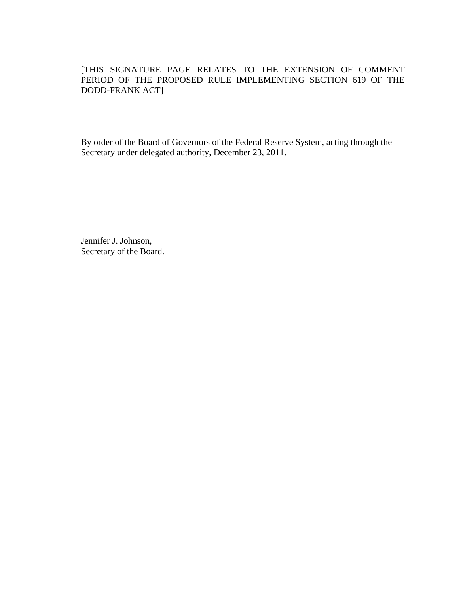[THIS SIGNATURE PAGE RELATES TO THE EXTENSION OF COMMENT PERIOD OF THE PROPOSED RULE IMPLEMENTING SECTION 619 OF THE DODD-FRANK ACT]

By order of the Board of Governors of the Federal Reserve System, acting through the Secretary under delegated authority, December 23, 2011.

Jennifer J. Johnson, Secretary of the Board.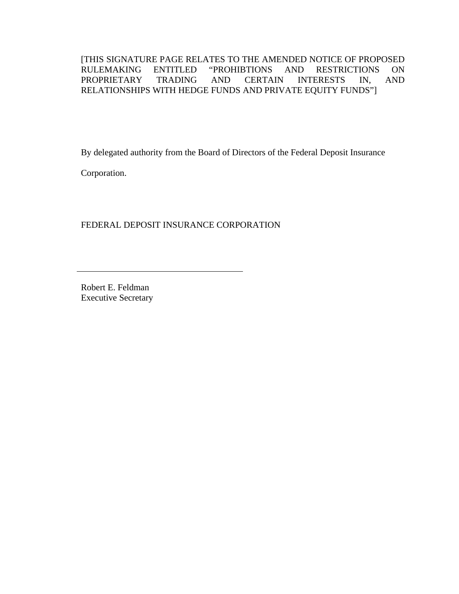[THIS SIGNATURE PAGE RELATES TO THE AMENDED NOTICE OF PROPOSED RULEMAKING ENTITLED "PROHIBTIONS AND RESTRICTIONS ON PROPRIETARY TRADING AND CERTAIN INTERESTS IN, AND RELATIONSHIPS WITH HEDGE FUNDS AND PRIVATE EQUITY FUNDS"]

By delegated authority from the Board of Directors of the Federal Deposit Insurance

Corporation.

FEDERAL DEPOSIT INSURANCE CORPORATION

Robert E. Feldman Executive Secretary